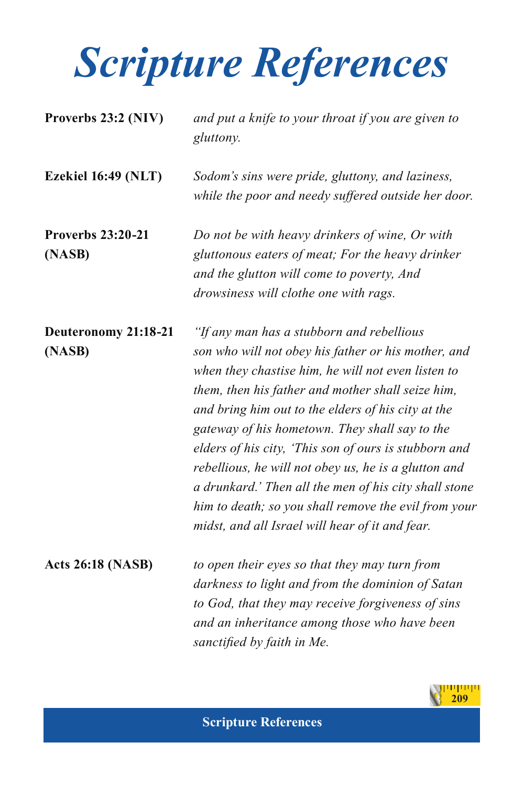| Proverbs 23:2 (NIV)                | and put a knife to your throat if you are given to<br>gluttony.                                                                                                                                                                                                                                                                                                                                                                                                                                                                                                                                          |
|------------------------------------|----------------------------------------------------------------------------------------------------------------------------------------------------------------------------------------------------------------------------------------------------------------------------------------------------------------------------------------------------------------------------------------------------------------------------------------------------------------------------------------------------------------------------------------------------------------------------------------------------------|
| Ezekiel 16:49 (NLT)                | Sodom's sins were pride, gluttony, and laziness,<br>while the poor and needy suffered outside her door.                                                                                                                                                                                                                                                                                                                                                                                                                                                                                                  |
| <b>Proverbs 23:20-21</b><br>(NASB) | Do not be with heavy drinkers of wine, Or with<br>gluttonous eaters of meat; For the heavy drinker<br>and the glutton will come to poverty, And<br>drowsiness will clothe one with rags.                                                                                                                                                                                                                                                                                                                                                                                                                 |
| Deuteronomy 21:18-21<br>(NASB)     | "If any man has a stubborn and rebellious<br>son who will not obey his father or his mother, and<br>when they chastise him, he will not even listen to<br>them, then his father and mother shall seize him,<br>and bring him out to the elders of his city at the<br>gateway of his hometown. They shall say to the<br>elders of his city, 'This son of ours is stubborn and<br>rebellious, he will not obey us, he is a glutton and<br>a drunkard.' Then all the men of his city shall stone<br>him to death; so you shall remove the evil from your<br>midst, and all Israel will hear of it and fear. |
| <b>Acts 26:18 (NASB)</b>           | to open their eyes so that they may turn from<br>darkness to light and from the dominion of Satan<br>to God, that they may receive forgiveness of sins<br>and an inheritance among those who have been<br>sanctified by faith in Me.                                                                                                                                                                                                                                                                                                                                                                     |

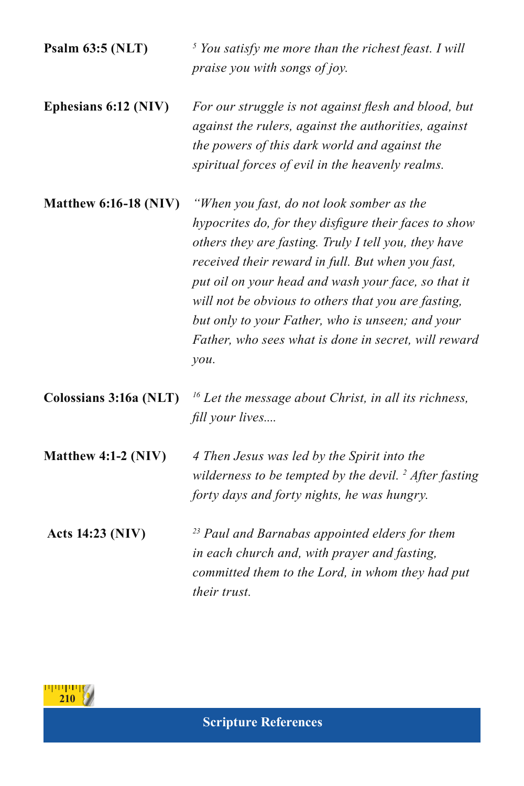**Psalm 63:5 (NLT)** *<sup>5</sup> You satisfy me more than the richest feast. I will praise you with songs of joy.*

**Ephesians 6:12 (NIV)** *For our struggle is not against flesh and blood, but against the rulers, against the authorities, against the powers of this dark world and against the spiritual forces of evil in the heavenly realms.*

**Matthew 6:16-18 (NIV)** *"When you fast, do not look somber as the hypocrites do, for they disfigure their faces to show others they are fasting. Truly I tell you, they have received their reward in full. But when you fast, put oil on your head and wash your face, so that it will not be obvious to others that you are fasting, but only to your Father, who is unseen; and your Father, who sees what is done in secret, will reward you.*

**Colossians 3:16a (NLT)** *16 Let the message about Christ, in all its richness, fill your lives....*

**Matthew 4:1-2 (NIV)** *4 Then Jesus was led by the Spirit into the wilderness to be tempted by the devil. 2 After fasting forty days and forty nights, he was hungry.*

 **Acts 14:23 (NIV)** *23 Paul and Barnabas appointed elders for them in each church and, with prayer and fasting, committed them to the Lord, in whom they had put their trust.*

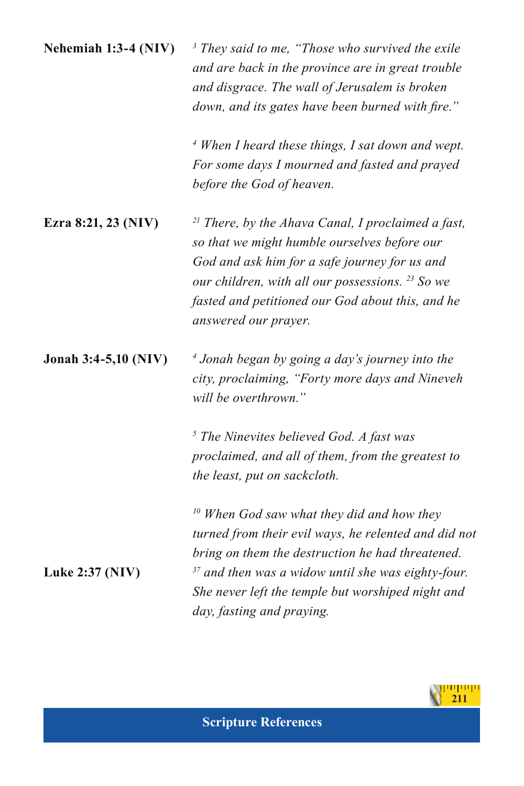| Nehemiah 1:3-4 (NIV) | $3$ They said to me, "Those who survived the exile |
|----------------------|----------------------------------------------------|
|                      | and are back in the province are in great trouble  |
|                      | and disgrace. The wall of Jerusalem is broken      |
|                      | down, and its gates have been burned with fire."   |

*4 When I heard these things, I sat down and wept. For some days I mourned and fasted and prayed before the God of heaven.*

**Ezra 8:21, 23 (NIV)** *21 There, by the Ahava Canal, I proclaimed a fast, so that we might humble ourselves before our God and ask him for a safe journey for us and our children, with all our possessions. 23 So we fasted and petitioned our God about this, and he answered our prayer.*

**Jonah 3:4-5,10 (NIV)** *<sup>4</sup> Jonah began by going a day's journey into the city, proclaiming, "Forty more days and Nineveh will be overthrown."*

> *5 The Ninevites believed God. A fast was proclaimed, and all of them, from the greatest to the least, put on sackcloth.*

*10 When God saw what they did and how they turned from their evil ways, he relented and did not bring on them the destruction he had threatened.* **Luke 2:37 (NIV)** *37 and then was a widow until she was eighty-four. She never left the temple but worshiped night and day, fasting and praying.*

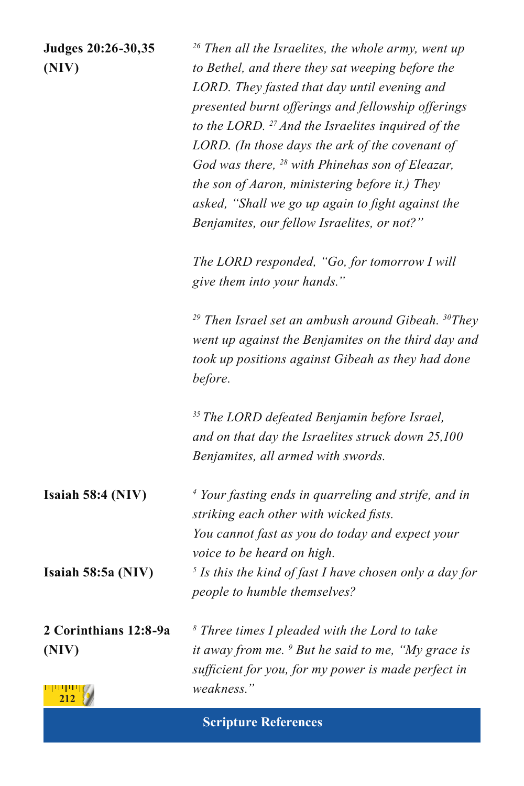**Judges 20:26-30,35** *26 Then all the Israelites, the whole army, went up* **(NIV)** *to Bethel, and there they sat weeping before the LORD. They fasted that day until evening and presented burnt offerings and fellowship offerings to the LORD. 27 And the Israelites inquired of the LORD. (In those days the ark of the covenant of God was there, <sup>28</sup> with Phinehas son of Eleazar, the son of Aaron, ministering before it.) They asked, "Shall we go up again to fight against the Benjamites, our fellow Israelites, or not?"*

> *The LORD responded, "Go, for tomorrow I will give them into your hands."*

*29 Then Israel set an ambush around Gibeah. 30They went up against the Benjamites on the third day and took up positions against Gibeah as they had done before.*

*35 The LORD defeated Benjamin before Israel, and on that day the Israelites struck down 25,100 Benjamites, all armed with swords.*

**Isaiah 58:4 (NIV)** *<sup>4</sup> Your fasting ends in quarreling and strife, and in striking each other with wicked fists. You cannot fast as you do today and expect your voice to be heard on high.* **Isaiah 58:5a (NIV)** *<sup>5</sup> Is this the kind of fast I have chosen only a day for people to humble themselves?*

**2 Corinthians 12:8-9a** *<sup>8</sup> Three times I pleaded with the Lord to take*  **(NIV)** *it away from me. 9 But he said to me, "My grace is sufficient for you, for my power is made perfect in weakness."* برسوسو **212**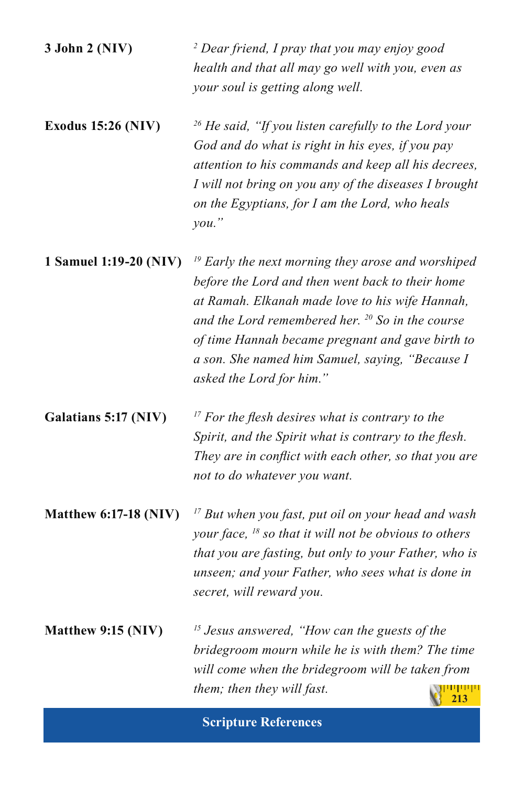| 3 John 2 (NIV)               | <sup>2</sup> Dear friend, I pray that you may enjoy good<br>health and that all may go well with you, even as<br>your soul is getting along well.                                                                                                                                                                                                       |
|------------------------------|---------------------------------------------------------------------------------------------------------------------------------------------------------------------------------------------------------------------------------------------------------------------------------------------------------------------------------------------------------|
| <b>Exodus 15:26 (NIV)</b>    | $26$ He said, "If you listen carefully to the Lord your<br>God and do what is right in his eyes, if you pay<br>attention to his commands and keep all his decrees,<br>I will not bring on you any of the diseases I brought<br>on the Egyptians, for I am the Lord, who heals<br>you.'                                                                  |
| 1 Samuel 1:19-20 (NIV)       | $19$ Early the next morning they arose and worshiped<br>before the Lord and then went back to their home<br>at Ramah. Elkanah made love to his wife Hannah,<br>and the Lord remembered her. $^{20}$ So in the course<br>of time Hannah became pregnant and gave birth to<br>a son. She named him Samuel, saying, "Because I<br>asked the Lord for him." |
| Galatians 5:17 (NIV)         | $17$ For the flesh desires what is contrary to the<br>Spirit, and the Spirit what is contrary to the flesh.<br>They are in conflict with each other, so that you are<br>not to do whatever you want.                                                                                                                                                    |
| <b>Matthew 6:17-18 (NIV)</b> | <sup>17</sup> But when you fast, put oil on your head and wash<br>your face, $^{18}$ so that it will not be obvious to others<br>that you are fasting, but only to your Father, who is<br>unseen; and your Father, who sees what is done in<br>secret, will reward you.                                                                                 |
| Matthew 9:15 (NIV)           | <sup>15</sup> Jesus answered, "How can the guests of the<br>bridegroom mourn while he is with them? The time<br>will come when the bridegroom will be taken from<br>them; then they will fast.<br><u> 1   1   1   1  </u><br>213                                                                                                                        |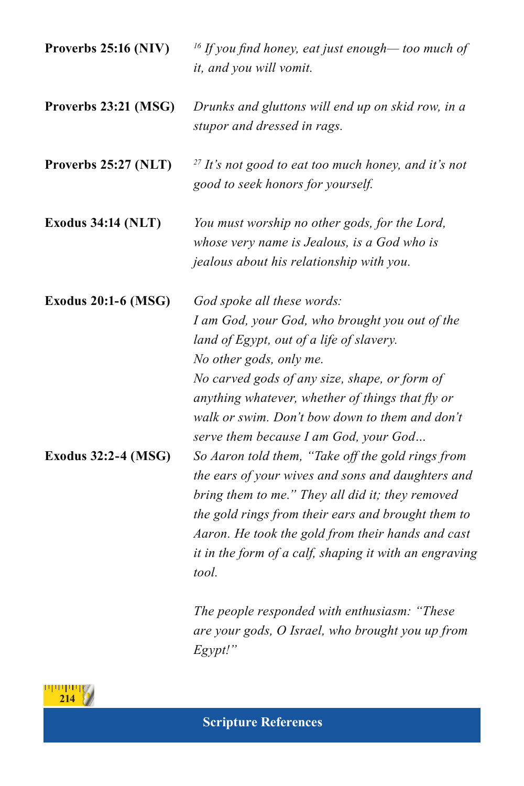| Proverbs 25:16 (NIV)       | <sup>16</sup> If you find honey, eat just enough— too much of<br>it, and you will vomit.                                                                                                                                                                                                                                                            |
|----------------------------|-----------------------------------------------------------------------------------------------------------------------------------------------------------------------------------------------------------------------------------------------------------------------------------------------------------------------------------------------------|
| Proverbs 23:21 (MSG)       | Drunks and gluttons will end up on skid row, in a<br>stupor and dressed in rags.                                                                                                                                                                                                                                                                    |
| Proverbs 25:27 (NLT)       | $27$ It's not good to eat too much honey, and it's not<br>good to seek honors for yourself.                                                                                                                                                                                                                                                         |
| <b>Exodus 34:14 (NLT)</b>  | You must worship no other gods, for the Lord,<br>whose very name is Jealous, is a God who is<br>jealous about his relationship with you.                                                                                                                                                                                                            |
| <b>Exodus 20:1-6 (MSG)</b> | God spoke all these words:<br>I am God, your God, who brought you out of the<br>land of Egypt, out of a life of slavery.<br>No other gods, only me.<br>No carved gods of any size, shape, or form of<br>anything whatever, whether of things that fly or<br>walk or swim. Don't bow down to them and don't<br>serve them because I am God, your God |
| <b>Exodus 32:2-4 (MSG)</b> | So Aaron told them, "Take off the gold rings from<br>the ears of your wives and sons and daughters and<br>bring them to me." They all did it; they removed<br>the gold rings from their ears and brought them to<br>Aaron. He took the gold from their hands and cast<br>it in the form of a calf, shaping it with an engraving<br>tool.            |
|                            |                                                                                                                                                                                                                                                                                                                                                     |

*The people responded with enthusiasm: "These are your gods, O Israel, who brought you up from Egypt!"*

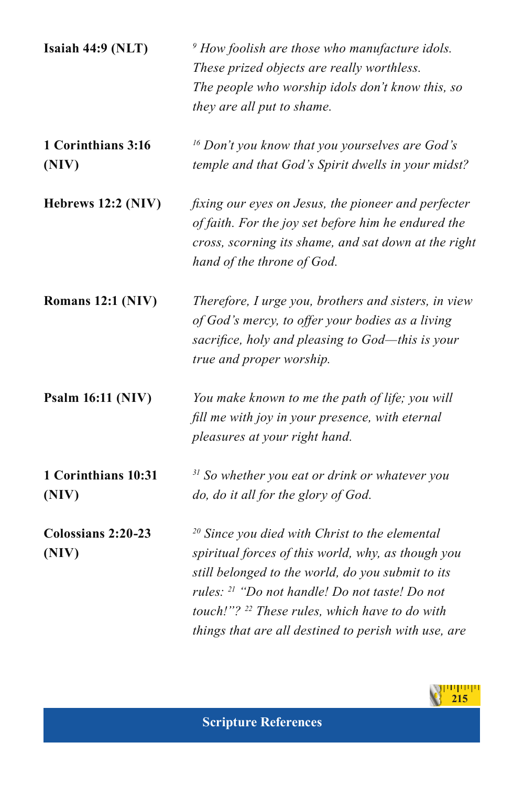| Isaiah 44:9 (NLT)            | $\degree$ How foolish are those who manufacture idols.<br>These prized objects are really worthless.<br>The people who worship idols don't know this, so<br>they are all put to shame.                                                                                                                                                        |
|------------------------------|-----------------------------------------------------------------------------------------------------------------------------------------------------------------------------------------------------------------------------------------------------------------------------------------------------------------------------------------------|
| 1 Corinthians 3:16<br>(NIV)  | $16$ Don't you know that you yourselves are God's<br>temple and that God's Spirit dwells in your midst?                                                                                                                                                                                                                                       |
| Hebrews 12:2 (NIV)           | fixing our eyes on Jesus, the pioneer and perfecter<br>of faith. For the joy set before him he endured the<br>cross, scorning its shame, and sat down at the right<br>hand of the throne of God.                                                                                                                                              |
| Romans 12:1 (NIV)            | Therefore, I urge you, brothers and sisters, in view<br>of God's mercy, to offer your bodies as a living<br>sacrifice, holy and pleasing to God—this is your<br>true and proper worship.                                                                                                                                                      |
| <b>Psalm 16:11 (NIV)</b>     | You make known to me the path of life; you will<br>fill me with joy in your presence, with eternal<br>pleasures at your right hand.                                                                                                                                                                                                           |
| 1 Corinthians 10:31<br>(NIV) | <sup>31</sup> So whether you eat or drink or whatever you<br>do, do it all for the glory of God.                                                                                                                                                                                                                                              |
| Colossians 2:20-23<br>(NIV)  | $20$ Since you died with Christ to the elemental<br>spiritual forces of this world, why, as though you<br>still belonged to the world, do you submit to its<br>rules: <sup>21</sup> "Do not handle! Do not taste! Do not<br>touch!"? <sup>22</sup> These rules, which have to do with<br>things that are all destined to perish with use, are |

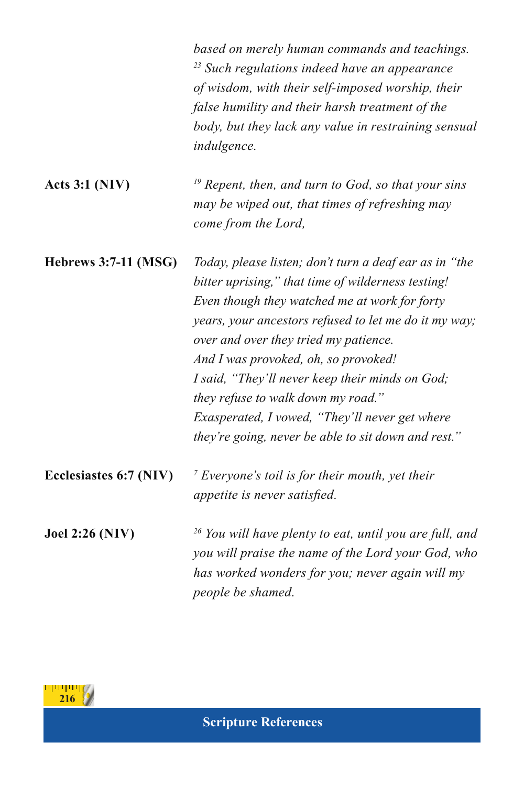|                             | based on merely human commands and teachings.<br><sup>23</sup> Such regulations indeed have an appearance<br>of wisdom, with their self-imposed worship, their<br>false humility and their harsh treatment of the<br>body, but they lack any value in restraining sensual<br>indulgence.                                                                                                                                                                                                                  |
|-----------------------------|-----------------------------------------------------------------------------------------------------------------------------------------------------------------------------------------------------------------------------------------------------------------------------------------------------------------------------------------------------------------------------------------------------------------------------------------------------------------------------------------------------------|
| Acts $3:1(NIV)$             | $19$ Repent, then, and turn to God, so that your sins<br>may be wiped out, that times of refreshing may<br>come from the Lord,                                                                                                                                                                                                                                                                                                                                                                            |
| <b>Hebrews 3:7-11 (MSG)</b> | Today, please listen; don't turn a deaf ear as in "the<br>bitter uprising," that time of wilderness testing!<br>Even though they watched me at work for forty<br>years, your ancestors refused to let me do it my way;<br>over and over they tried my patience.<br>And I was provoked, oh, so provoked!<br>I said, "They'll never keep their minds on God;<br>they refuse to walk down my road."<br>Exasperated, I vowed, "They'll never get where<br>they're going, never be able to sit down and rest." |
| Ecclesiastes 6:7 (NIV)      | $\frac{7}{7}$ Everyone's toil is for their mouth, yet their<br>appetite is never satisfied.                                                                                                                                                                                                                                                                                                                                                                                                               |
| <b>Joel 2:26 (NIV)</b>      | <sup>26</sup> You will have plenty to eat, until you are full, and<br>you will praise the name of the Lord your God, who<br>has worked wonders for you; never again will my<br>people be shamed.                                                                                                                                                                                                                                                                                                          |

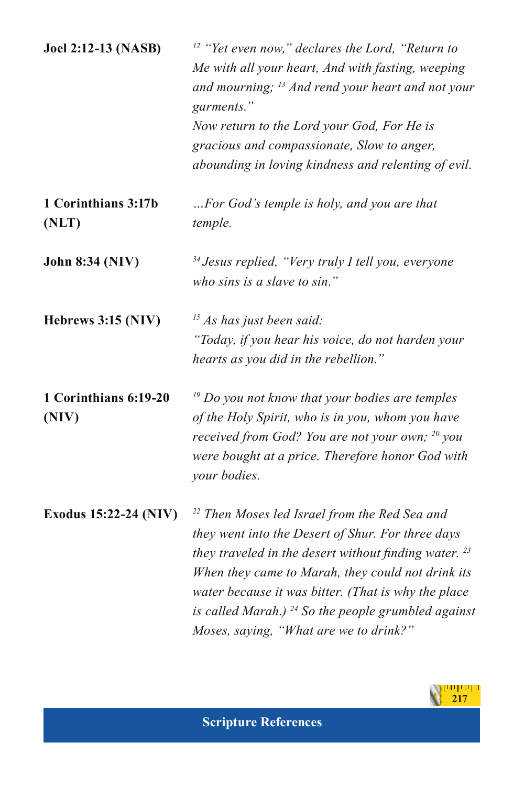| <b>Joel 2:12-13 (NASB)</b>     | <sup>12</sup> "Yet even now," declares the Lord, "Return to<br>Me with all your heart, And with fasting, weeping<br>and mourning; $^{13}$ And rend your heart and not your<br>garments."<br>Now return to the Lord your God, For He is<br>gracious and compassionate, Slow to anger,<br>abounding in loving kindness and relenting of evil.                                                   |
|--------------------------------|-----------------------------------------------------------------------------------------------------------------------------------------------------------------------------------------------------------------------------------------------------------------------------------------------------------------------------------------------------------------------------------------------|
| 1 Corinthians 3:17b<br>(NLT)   | For God's temple is holy, and you are that<br>temple.                                                                                                                                                                                                                                                                                                                                         |
| John 8:34 (NIV)                | <sup>34</sup> Jesus replied, "Very truly I tell you, everyone<br>who sins is a slave to sin."                                                                                                                                                                                                                                                                                                 |
| Hebrews 3:15 (NIV)             | $15$ As has just been said:<br>"Today, if you hear his voice, do not harden your<br>hearts as you did in the rebellion."                                                                                                                                                                                                                                                                      |
| 1 Corinthians 6:19-20<br>(NIV) | $19$ Do you not know that your bodies are temples<br>of the Holy Spirit, who is in you, whom you have<br>received from God? You are not your own; <sup>20</sup> you<br>were bought at a price. Therefore honor God with<br>your bodies.                                                                                                                                                       |
| Exodus 15:22-24 (NIV)          | <sup>22</sup> Then Moses led Israel from the Red Sea and<br>they went into the Desert of Shur. For three days<br>they traveled in the desert without finding water. $^{23}$<br>When they came to Marah, they could not drink its<br>water because it was bitter. (That is why the place<br>is called Marah.) $^{24}$ So the people grumbled against<br>Moses, saying, "What are we to drink?" |

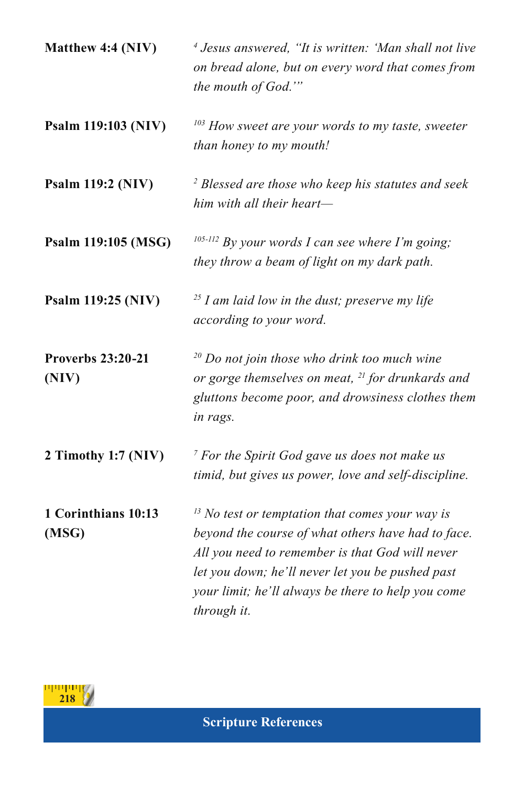| Matthew 4:4 (NIV)                 | <sup>4</sup> Jesus answered, "It is written: 'Man shall not live<br>on bread alone, but on every word that comes from<br>the mouth of God.""                                                                                                                                        |
|-----------------------------------|-------------------------------------------------------------------------------------------------------------------------------------------------------------------------------------------------------------------------------------------------------------------------------------|
| Psalm 119:103 (NIV)               | <sup>103</sup> How sweet are your words to my taste, sweeter<br>than honey to my mouth!                                                                                                                                                                                             |
| Psalm 119:2 (NIV)                 | <sup>2</sup> Blessed are those who keep his statutes and seek<br>him with all their heart-                                                                                                                                                                                          |
| Psalm 119:105 (MSG)               | $105-112$ By your words I can see where I'm going;<br>they throw a beam of light on my dark path.                                                                                                                                                                                   |
| Psalm 119:25 (NIV)                | $^{25}$ I am laid low in the dust; preserve my life<br>according to your word.                                                                                                                                                                                                      |
| <b>Proverbs 23:20-21</b><br>(NIV) | <sup>20</sup> Do not join those who drink too much wine<br>or gorge themselves on meat, <sup>21</sup> for drunkards and<br>gluttons become poor, and drowsiness clothes them<br>in rags.                                                                                            |
| 2 Timothy 1:7 (NIV)               | <sup>7</sup> For the Spirit God gave us does not make us<br>timid, but gives us power, love and self-discipline.                                                                                                                                                                    |
| 1 Corinthians 10:13<br>(MSG)      | $13$ No test or temptation that comes your way is<br>beyond the course of what others have had to face.<br>All you need to remember is that God will never<br>let you down; he'll never let you be pushed past<br>your limit; he'll always be there to help you come<br>through it. |

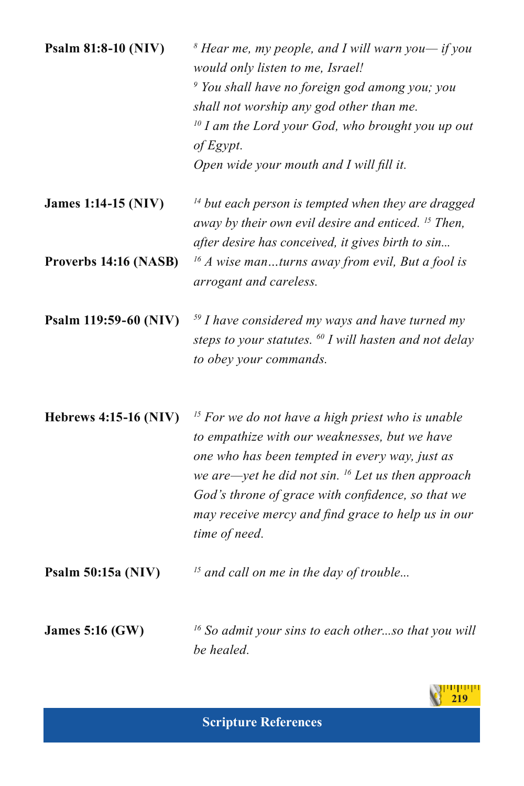| Psalm 81:8-10 (NIV)          | $\delta$ Hear me, my people, and I will warn you— if you<br>would only listen to me, Israel!<br><sup>9</sup> You shall have no foreign god among you; you<br>shall not worship any god other than me.<br>$10$ I am the Lord your God, who brought you up out<br>of Egypt.<br>Open wide your mouth and I will fill it.                                  |
|------------------------------|--------------------------------------------------------------------------------------------------------------------------------------------------------------------------------------------------------------------------------------------------------------------------------------------------------------------------------------------------------|
| <b>James 1:14-15 (NIV)</b>   | <sup>14</sup> but each person is tempted when they are dragged<br>away by their own evil desire and enticed. <sup>15</sup> Then,<br>after desire has conceived, it gives birth to sin                                                                                                                                                                  |
| Proverbs 14:16 (NASB)        | $^{16}$ A wise manturns away from evil, But a fool is<br>arrogant and careless.                                                                                                                                                                                                                                                                        |
| Psalm 119:59-60 (NIV)        | $59$ I have considered my ways and have turned my<br>steps to your statutes. <sup>60</sup> I will hasten and not delay<br>to obey your commands.                                                                                                                                                                                                       |
| <b>Hebrews 4:15-16 (NIV)</b> | <sup>15</sup> For we do not have a high priest who is unable<br>to empathize with our weaknesses, but we have<br>one who has been tempted in every way, just as<br>we are—yet he did not sin. $^{16}$ Let us then approach<br>God's throne of grace with confidence, so that we<br>may receive mercy and find grace to help us in our<br>time of need. |
| Psalm 50:15a (NIV)           | <sup>15</sup> and call on me in the day of trouble                                                                                                                                                                                                                                                                                                     |
| <b>James 5:16 (GW)</b>       | $16$ So admit your sins to each otherso that you will<br>be healed.                                                                                                                                                                                                                                                                                    |

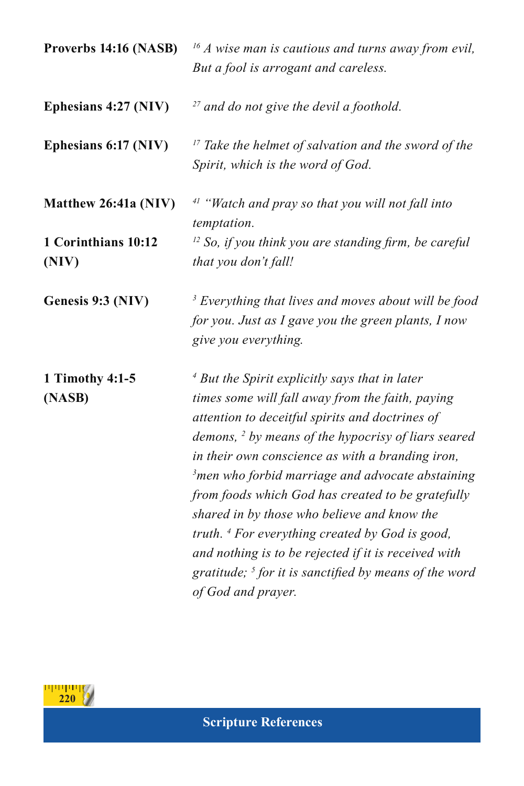| Proverbs 14:16 (NASB)        | $^{16}$ A wise man is cautious and turns away from evil,<br>But a fool is arrogant and careless.                                                                                                                                                                                                                                                                                                                                                                                                                                                                                                                                                          |
|------------------------------|-----------------------------------------------------------------------------------------------------------------------------------------------------------------------------------------------------------------------------------------------------------------------------------------------------------------------------------------------------------------------------------------------------------------------------------------------------------------------------------------------------------------------------------------------------------------------------------------------------------------------------------------------------------|
| Ephesians 4:27 (NIV)         | <sup>27</sup> and do not give the devil a foothold.                                                                                                                                                                                                                                                                                                                                                                                                                                                                                                                                                                                                       |
| Ephesians 6:17 (NIV)         | $17$ Take the helmet of salvation and the sword of the<br>Spirit, which is the word of God.                                                                                                                                                                                                                                                                                                                                                                                                                                                                                                                                                               |
| Matthew 26:41a (NIV)         | $41$ "Watch and pray so that you will not fall into<br>temptation.                                                                                                                                                                                                                                                                                                                                                                                                                                                                                                                                                                                        |
| 1 Corinthians 10:12<br>(NIV) | $12$ So, if you think you are standing firm, be careful<br>that you don't fall!                                                                                                                                                                                                                                                                                                                                                                                                                                                                                                                                                                           |
| Genesis 9:3 (NIV)            | <sup>3</sup> Everything that lives and moves about will be food<br>for you. Just as I gave you the green plants, I now<br>give you everything.                                                                                                                                                                                                                                                                                                                                                                                                                                                                                                            |
| 1 Timothy 4:1-5<br>(NASB)    | $4$ But the Spirit explicitly says that in later<br>times some will fall away from the faith, paying<br>attention to deceitful spirits and doctrines of<br>demons, <sup>2</sup> by means of the hypocrisy of liars seared<br>in their own conscience as with a branding iron,<br><sup>3</sup> men who forbid marriage and advocate abstaining<br>from foods which God has created to be gratefully<br>shared in by those who believe and know the<br>truth. <sup>4</sup> For everything created by God is good,<br>and nothing is to be rejected if it is received with<br>gratitude; $5$ for it is sanctified by means of the word<br>of God and prayer. |

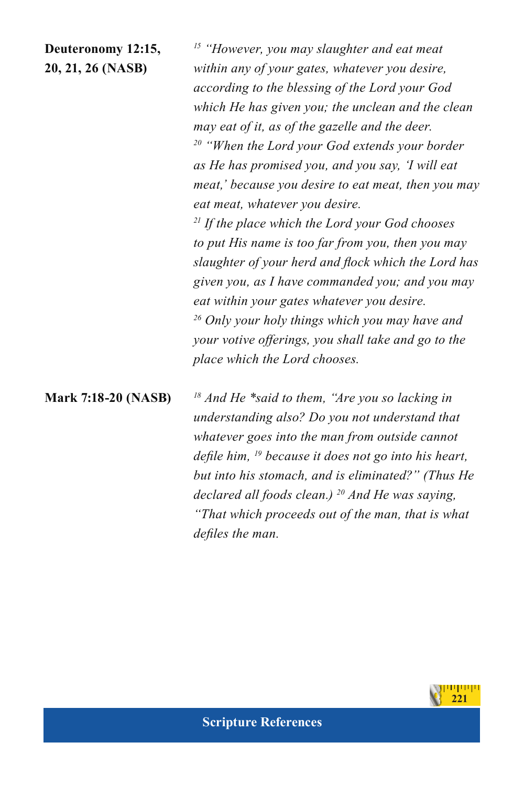**Deuteronomy 12:15,** *15 "However, you may slaughter and eat meat*  **20, 21, 26 (NASB)** *within any of your gates, whatever you desire, according to the blessing of the Lord your God which He has given you; the unclean and the clean may eat of it, as of the gazelle and the deer. 20 "When the Lord your God extends your border as He has promised you, and you say, 'I will eat meat,' because you desire to eat meat, then you may eat meat, whatever you desire. 21 If the place which the Lord your God chooses to put His name is too far from you, then you may slaughter of your herd and flock which the Lord has given you, as I have commanded you; and you may* 

> *eat within your gates whatever you desire. 26 Only your holy things which you may have and your votive offerings, you shall take and go to the place which the Lord chooses.*

**Mark 7:18-20 (NASB)** *<sup>18</sup> And He \*said to them, "Are you so lacking in understanding also? Do you not understand that whatever goes into the man from outside cannot defile him, 19 because it does not go into his heart, but into his stomach, and is eliminated?" (Thus He declared all foods clean.) 20 And He was saying, "That which proceeds out of the man, that is what defiles the man.*

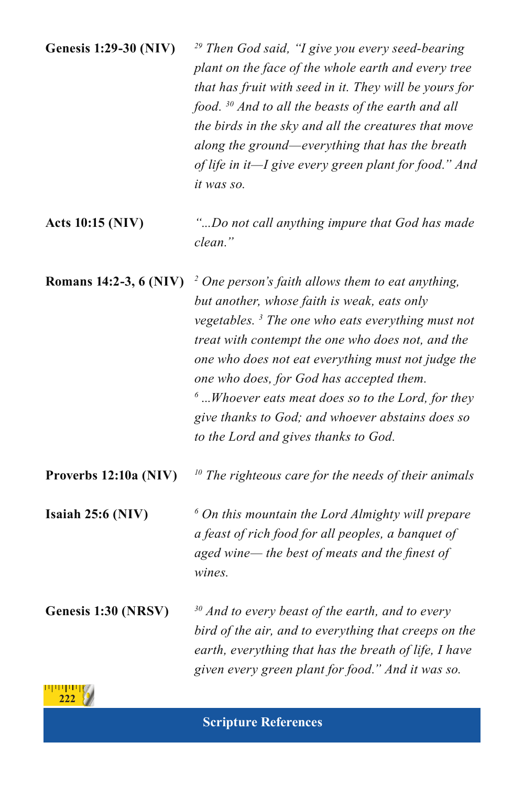| <b>Genesis 1:29-30 (NIV)</b> | <sup>29</sup> Then God said, "I give you every seed-bearing<br>plant on the face of the whole earth and every tree<br>that has fruit with seed in it. They will be yours for<br>food. $30$ And to all the beasts of the earth and all<br>the birds in the sky and all the creatures that move<br>along the ground—everything that has the breath<br>of life in it—I give every green plant for food." And<br>it was so.                                                                      |
|------------------------------|----------------------------------------------------------------------------------------------------------------------------------------------------------------------------------------------------------------------------------------------------------------------------------------------------------------------------------------------------------------------------------------------------------------------------------------------------------------------------------------------|
| <b>Acts 10:15 (NIV)</b>      | "Do not call anything impure that God has made<br>clean."                                                                                                                                                                                                                                                                                                                                                                                                                                    |
| Romans 14:2-3, 6 (NIV)       | $\frac{1}{2}$ One person's faith allows them to eat anything,<br>but another, whose faith is weak, eats only<br>vegetables. <sup>3</sup> The one who eats everything must not<br>treat with contempt the one who does not, and the<br>one who does not eat everything must not judge the<br>one who does, for God has accepted them.<br>$\delta$ Whoever eats meat does so to the Lord, for they<br>give thanks to God; and whoever abstains does so<br>to the Lord and gives thanks to God. |
| Proverbs 12:10a (NIV)        | $10$ The righteous care for the needs of their animals                                                                                                                                                                                                                                                                                                                                                                                                                                       |
| Isaiah $25:6$ (NIV)          | $6$ On this mountain the Lord Almighty will prepare<br>a feast of rich food for all peoples, a banquet of<br>aged wine— the best of meats and the finest of<br>wines.                                                                                                                                                                                                                                                                                                                        |
| Genesis 1:30 (NRSV)          | $30$ And to every beast of the earth, and to every<br>bird of the air, and to everything that creeps on the<br>earth, everything that has the breath of life, I have<br>given every green plant for food." And it was so.                                                                                                                                                                                                                                                                    |
|                              |                                                                                                                                                                                                                                                                                                                                                                                                                                                                                              |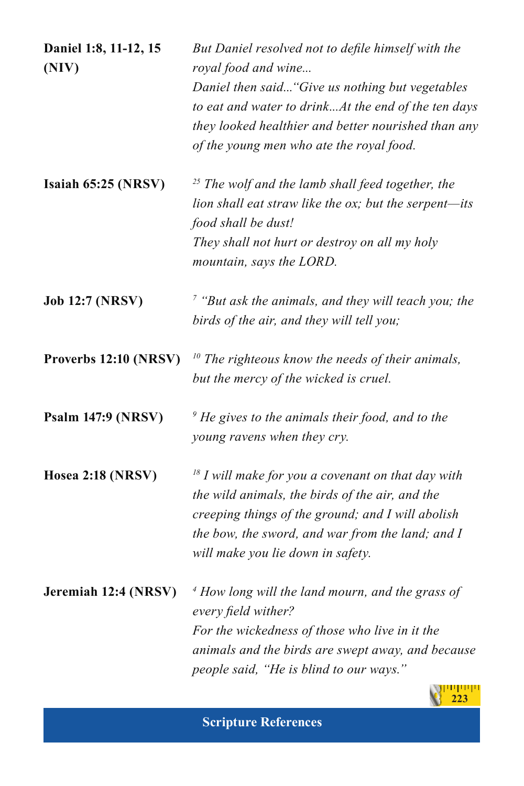| Daniel 1:8, 11-12, 15<br>(NIV) | But Daniel resolved not to defile himself with the<br>royal food and wine<br>Daniel then said "Give us nothing but vegetables<br>to eat and water to drinkAt the end of the ten days<br>they looked healthier and better nourished than any<br>of the young men who ate the royal food. |
|--------------------------------|-----------------------------------------------------------------------------------------------------------------------------------------------------------------------------------------------------------------------------------------------------------------------------------------|
| Isaiah 65:25 (NRSV)            | $25$ The wolf and the lamb shall feed together, the<br>lion shall eat straw like the ox; but the serpent-its<br>food shall be dust!<br>They shall not hurt or destroy on all my holy<br>mountain, says the LORD.                                                                        |
| <b>Job 12:7 (NRSV)</b>         | $7$ "But ask the animals, and they will teach you; the<br>birds of the air, and they will tell you;                                                                                                                                                                                     |
| Proverbs 12:10 (NRSV)          | $10$ The righteous know the needs of their animals,<br>but the mercy of the wicked is cruel.                                                                                                                                                                                            |
| <b>Psalm 147:9 (NRSV)</b>      | $\degree$ He gives to the animals their food, and to the<br>young ravens when they cry.                                                                                                                                                                                                 |
| Hosea 2:18 (NRSV)              | $18$ I will make for you a covenant on that day with<br>the wild animals, the birds of the air, and the<br>creeping things of the ground; and I will abolish<br>the bow, the sword, and war from the land; and I<br>will make you lie down in safety.                                   |
| Jeremiah 12:4 (NRSV)           | $\frac{4}{7}$ How long will the land mourn, and the grass of<br>every field wither?<br>For the wickedness of those who live in it the<br>animals and the birds are swept away, and because<br>people said, "He is blind to our ways."                                                   |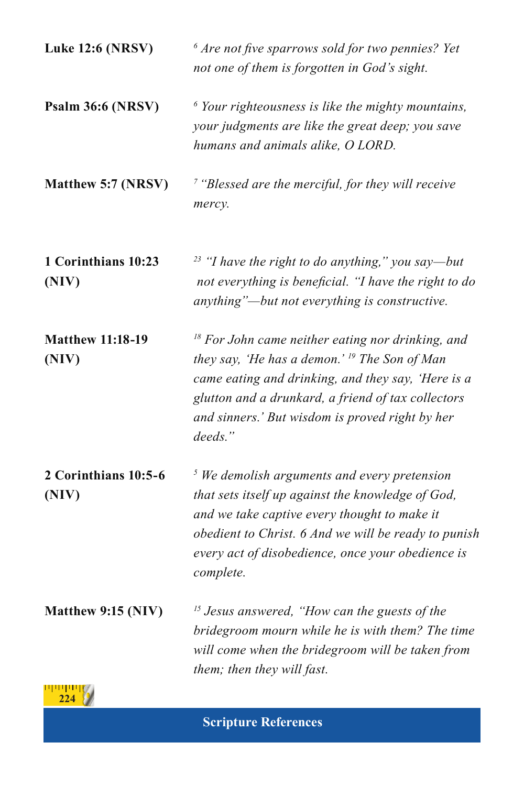| <b>Luke 12:6 (NRSV)</b>          | $6$ Are not five sparrows sold for two pennies? Yet<br>not one of them is forgotten in God's sight.                                                                                                                                                                                       |
|----------------------------------|-------------------------------------------------------------------------------------------------------------------------------------------------------------------------------------------------------------------------------------------------------------------------------------------|
| Psalm 36:6 (NRSV)                | $6$ Your righteousness is like the mighty mountains,<br>your judgments are like the great deep; you save<br>humans and animals alike, O LORD.                                                                                                                                             |
| Matthew 5:7 (NRSV)               | $\frac{7}{7}$ "Blessed are the merciful, for they will receive<br>mercy.                                                                                                                                                                                                                  |
| 1 Corinthians 10:23<br>(NIV)     | $23$ "I have the right to do anything," you say—but<br>not everything is beneficial. "I have the right to do<br>anything"-but not everything is constructive.                                                                                                                             |
| <b>Matthew 11:18-19</b><br>(NIV) | $18$ For John came neither eating nor drinking, and<br>they say, 'He has a demon.' <sup>19</sup> The Son of Man<br>came eating and drinking, and they say, 'Here is a<br>glutton and a drunkard, a friend of tax collectors<br>and sinners.' But wisdom is proved right by her<br>deeds." |
| 2 Corinthians 10:5-6<br>(NIV)    | $5$ We demolish arguments and every pretension<br>that sets itself up against the knowledge of God,<br>and we take captive every thought to make it<br>obedient to Christ. 6 And we will be ready to punish<br>every act of disobedience, once your obedience is<br>complete.             |
| Matthew 9:15 (NIV)               | <sup>15</sup> Jesus answered, "How can the guests of the<br>bridegroom mourn while he is with them? The time<br>will come when the bridegroom will be taken from<br>them; then they will fast.                                                                                            |
|                                  |                                                                                                                                                                                                                                                                                           |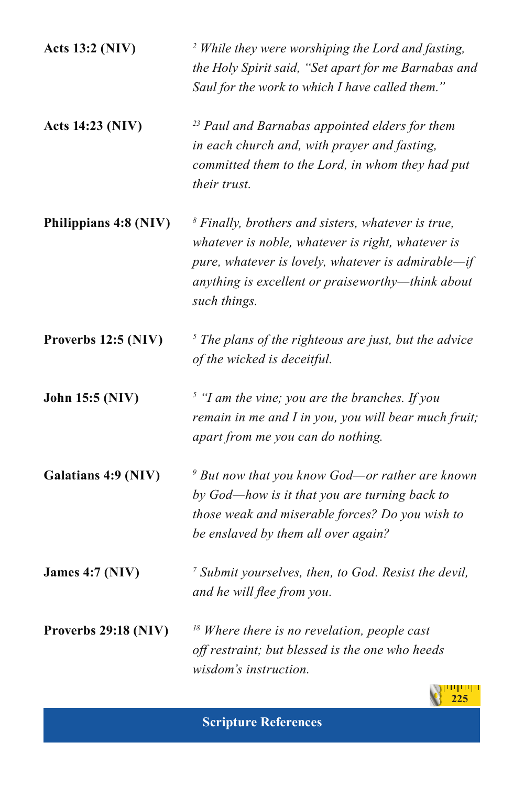| <b>Acts 13:2 (NIV)</b>  | <sup>2</sup> While they were worshiping the Lord and fasting,<br>the Holy Spirit said, "Set apart for me Barnabas and<br>Saul for the work to which I have called them."                                                                  |
|-------------------------|-------------------------------------------------------------------------------------------------------------------------------------------------------------------------------------------------------------------------------------------|
| <b>Acts 14:23 (NIV)</b> | <sup>23</sup> Paul and Barnabas appointed elders for them<br>in each church and, with prayer and fasting,<br>committed them to the Lord, in whom they had put<br>their trust.                                                             |
| Philippians 4:8 (NIV)   | $\delta$ Finally, brothers and sisters, whatever is true,<br>whatever is noble, whatever is right, whatever is<br>pure, whatever is lovely, whatever is admirable-if<br>anything is excellent or praiseworthy-think about<br>such things. |
| Proverbs 12:5 (NIV)     | $5$ The plans of the righteous are just, but the advice<br>of the wicked is deceitful.                                                                                                                                                    |
| John 15:5 (NIV)         | $5$ "I am the vine; you are the branches. If you<br>remain in me and I in you, you will bear much fruit;<br>apart from me you can do nothing.                                                                                             |
| Galatians 4:9 (NIV)     | $9$ But now that you know God—or rather are known<br>by God-how is it that you are turning back to<br>those weak and miserable forces? Do you wish to<br>be enslaved by them all over again?                                              |
| <b>James 4:7 (NIV)</b>  | <sup>7</sup> Submit yourselves, then, to God. Resist the devil,<br>and he will flee from you.                                                                                                                                             |
| Proverbs 29:18 (NIV)    | $18$ Where there is no revelation, people cast<br>off restraint; but blessed is the one who heeds<br>wisdom's instruction.                                                                                                                |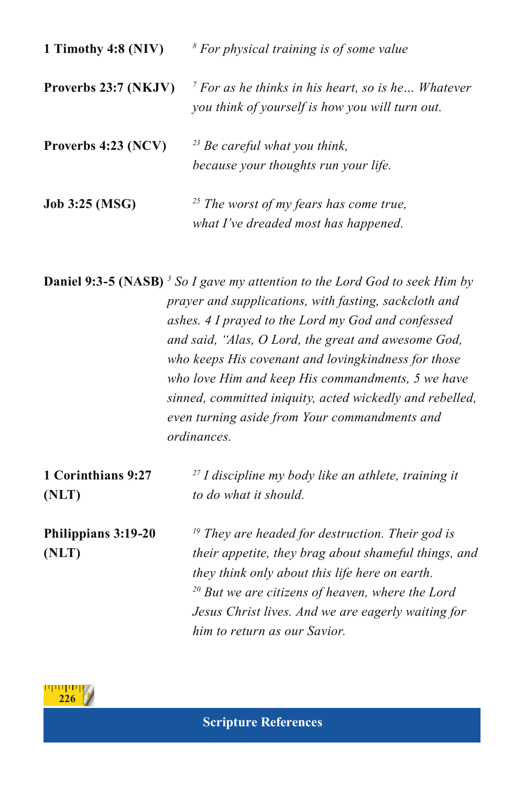| 1 Timothy 4:8 (NIV)   | <sup>8</sup> For physical training is of some value                                                               |
|-----------------------|-------------------------------------------------------------------------------------------------------------------|
| Proverbs 23:7 (NKJV)  | $\frac{7}{7}$ For as he thinks in his heart, so is he Whatever<br>you think of yourself is how you will turn out. |
| Proverbs 4:23 (NCV)   | $^{23}$ Be careful what you think,<br>because your thoughts run your life.                                        |
| <b>Job 3:25 (MSG)</b> | $^{25}$ The worst of my fears has come true,<br>what I've dreaded most has happened.                              |

**Daniel 9:3-5 (NASB)** <sup>3</sup> So I gave my attention to the Lord God to seek Him by *prayer and supplications, with fasting, sackcloth and ashes. 4 I prayed to the Lord my God and confessed and said, "Alas, O Lord, the great and awesome God, who keeps His covenant and lovingkindness for those who love Him and keep His commandments, 5 we have sinned, committed iniquity, acted wickedly and rebelled, even turning aside from Your commandments and ordinances.* 

| 1 Corinthians 9:27<br>(NLT) | $27$ I discipline my body like an athlete, training it<br>to do what it should. |
|-----------------------------|---------------------------------------------------------------------------------|
| Philippians 3:19-20         | $\mu$ <sup>19</sup> They are headed for destruction. Their god is               |
| (NLT)                       | their appetite, they brag about shameful things, and                            |
|                             | they think only about this life here on earth.                                  |
|                             | $20$ But we are citizens of heaven, where the Lord                              |
|                             | Jesus Christ lives. And we are eagerly waiting for                              |
|                             | him to return as our Savior.                                                    |

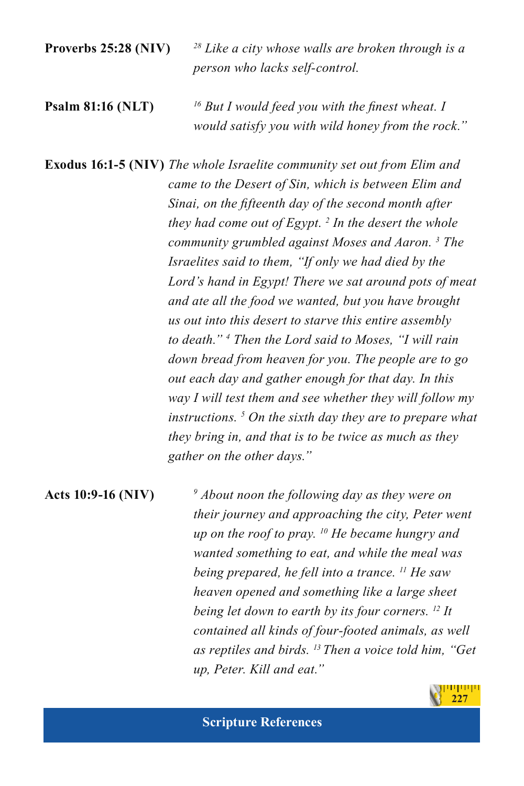**Proverbs 25:28 (NIV)** *<sup>28</sup> Like a city whose walls are broken through is a person who lacks self-control.*

**Psalm 81:16 (NLT)** *<sup>16</sup> But I would feed you with the finest wheat. I would satisfy you with wild honey from the rock."*

**Exodus 16:1-5 (NIV)** *The whole Israelite community set out from Elim and came to the Desert of Sin, which is between Elim and Sinai, on the fifteenth day of the second month after they had come out of Egypt. 2 In the desert the whole community grumbled against Moses and Aaron. 3 The Israelites said to them, "If only we had died by the Lord's hand in Egypt! There we sat around pots of meat and ate all the food we wanted, but you have brought us out into this desert to starve this entire assembly to death." <sup>4</sup> Then the Lord said to Moses, "I will rain down bread from heaven for you. The people are to go out each day and gather enough for that day. In this way I will test them and see whether they will follow my instructions. 5 On the sixth day they are to prepare what they bring in, and that is to be twice as much as they gather on the other days."*

**Acts 10:9-16 (NIV)** *<sup>9</sup> About noon the following day as they were on their journey and approaching the city, Peter went up on the roof to pray. 10 He became hungry and wanted something to eat, and while the meal was being prepared, he fell into a trance. 11 He saw heaven opened and something like a large sheet being let down to earth by its four corners. 12 It contained all kinds of four-footed animals, as well as reptiles and birds. 13 Then a voice told him, "Get up, Peter. Kill and eat."*

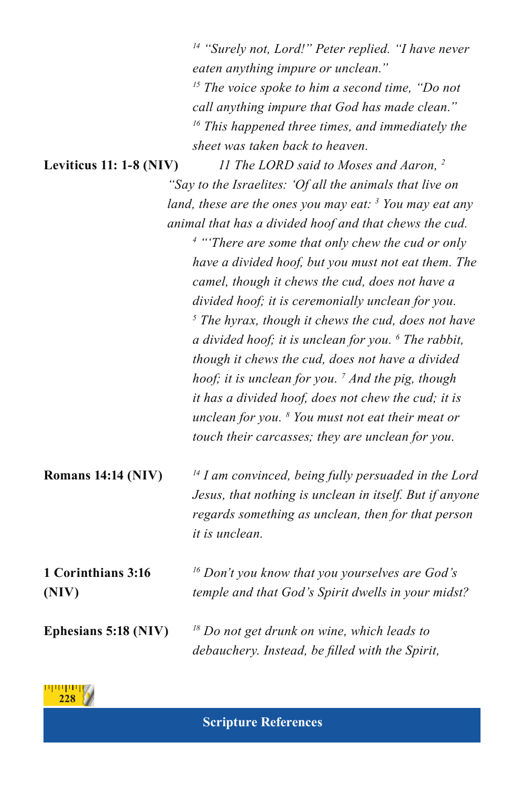|                             | <sup>14</sup> "Surely not, Lord!" Peter replied. "I have never<br>eaten anything impure or unclean."<br><sup>15</sup> The voice spoke to him a second time, "Do not<br>call anything impure that God has made clean."<br><sup>16</sup> This happened three times, and immediately the<br>sheet was taken back to heaven.                                                                                                                                                                                                                                                                                                                    |
|-----------------------------|---------------------------------------------------------------------------------------------------------------------------------------------------------------------------------------------------------------------------------------------------------------------------------------------------------------------------------------------------------------------------------------------------------------------------------------------------------------------------------------------------------------------------------------------------------------------------------------------------------------------------------------------|
| Leviticus 11: 1-8 (NIV)     | 11 The LORD said to Moses and Aaron, <sup>2</sup>                                                                                                                                                                                                                                                                                                                                                                                                                                                                                                                                                                                           |
|                             | "Say to the Israelites: 'Of all the animals that live on                                                                                                                                                                                                                                                                                                                                                                                                                                                                                                                                                                                    |
|                             | land, these are the ones you may eat: $\frac{3}{2}$ You may eat any                                                                                                                                                                                                                                                                                                                                                                                                                                                                                                                                                                         |
|                             | animal that has a divided hoof and that chews the cud.                                                                                                                                                                                                                                                                                                                                                                                                                                                                                                                                                                                      |
|                             | <sup>4</sup> "There are some that only chew the cud or only<br>have a divided hoof, but you must not eat them. The<br>camel, though it chews the cud, does not have a<br>divided hoof; it is ceremonially unclean for you.<br>$\frac{1}{2}$ The hyrax, though it chews the cud, does not have<br>a divided hoof; it is unclean for you. $\delta$ The rabbit,<br>though it chews the cud, does not have a divided<br>hoof; it is unclean for you. $^7$ And the pig, though<br>it has a divided hoof, does not chew the cud; it is<br>unclean for you. $8$ You must not eat their meat or<br>touch their carcasses; they are unclean for you. |
| <b>Romans 14:14 (NIV)</b>   | $14$ I am convinced, being fully persuaded in the Lord<br>Jesus, that nothing is unclean in itself. But if anyone<br>regards something as unclean, then for that person<br>it is unclean.                                                                                                                                                                                                                                                                                                                                                                                                                                                   |
| 1 Corinthians 3:16<br>(NIV) | <sup>16</sup> Don't you know that you yourselves are God's<br>temple and that God's Spirit dwells in your midst?                                                                                                                                                                                                                                                                                                                                                                                                                                                                                                                            |
| Ephesians 5:18 (NIV)        | $18$ Do not get drunk on wine, which leads to<br>debauchery. Instead, be filled with the Spirit,                                                                                                                                                                                                                                                                                                                                                                                                                                                                                                                                            |